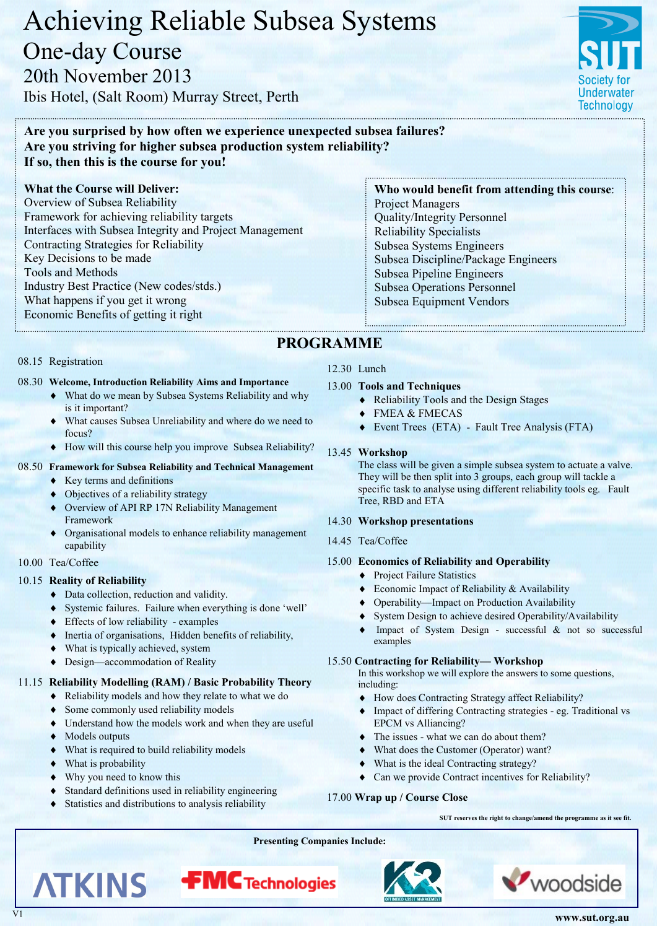**www.sut.org.au**

woodside

# Achieving Reliable Subsea Systems One-day Course 20th November 2013

Ibis Hotel, (Salt Room) Murray Street, Perth

## **Are you surprised by how often we experience unexpected subsea failures? Are you striving for higher subsea production system reliability? If so, then this is the course for you!**

#### **What the Course will Deliver:**

Overview of Subsea Reliability Framework for achieving reliability targets Interfaces with Subsea Integrity and Project Management Contracting Strategies for Reliability Key Decisions to be made Tools and Methods Industry Best Practice (New codes/stds.) What happens if you get it wrong Economic Benefits of getting it right

#### 08.15 Registration

#### 08.30 **Welcome, Introduction Reliability Aims and Importance**

- What do we mean by Subsea Systems Reliability and why is it important?
- What causes Subsea Unreliability and where do we need to focus?
- How will this course help you improve Subsea Reliability?

#### 08.50 **Framework for Subsea Reliability and Technical Management**

- $\triangle$  Key terms and definitions
- Objectives of a reliability strategy
- Overview of API RP 17N Reliability Management Framework
- Organisational models to enhance reliability management capability
- 10.00 Tea/Coffee

#### 10.15 **Reality of Reliability**

- Data collection, reduction and validity.
- Systemic failures. Failure when everything is done 'well'
- Effects of low reliability examples
- Inertia of organisations, Hidden benefits of reliability,
- What is typically achieved, system
- ◆ Design—accommodation of Reality

#### 11.15 **Reliability Modelling (RAM) / Basic Probability Theory**

- Reliability models and how they relate to what we do
- Some commonly used reliability models
- Understand how the models work and when they are useful
- ◆ Models outputs

**ATKINS** 

- What is required to build reliability models
- What is probability
- Why you need to know this
- Standard definitions used in reliability engineering
- Statistics and distributions to analysis reliability

### 12.30 Lunch

 **PROGRAMME**

- 13.00 **Tools and Techniques**
	- Reliability Tools and the Design Stages
	- FMEA & FMECAS
	- Event Trees (ETA) Fault Tree Analysis (FTA)

#### 13.45 **Workshop**

The class will be given a simple subsea system to actuate a valve. They will be then split into 3 groups, each group will tackle a specific task to analyse using different reliability tools eg. Fault Tree, RBD and ETA

#### 14.30 **Workshop presentations**

14.45 Tea/Coffee

#### 15.00 **Economics of Reliability and Operability**

- ◆ Project Failure Statistics
- ◆ Economic Impact of Reliability & Availability
- Operability—Impact on Production Availability
- System Design to achieve desired Operability/Availability
- Impact of System Design successful & not so successful examples

#### 15.50 **Contracting for Reliability— Workshop**

In this workshop we will explore the answers to some questions, including:

- How does Contracting Strategy affect Reliability?
- Impact of differing Contracting strategies eg. Traditional vs EPCM vs Alliancing?
- The issues what we can do about them?
- What does the Customer (Operator) want?
- What is the ideal Contracting strategy?
- Can we provide Contract incentives for Reliability?

#### 17.00 **Wrap up / Course Close**

**SUT reserves the right to change/amend the programme as it see fit.**

**Presenting Companies Include:**





**FMC** Technologies

#### Project Managers Quality/Integrity Personnel Reliability Specialists Subsea Systems Engineers Subsea Discipline/Package Engineers Subsea Pipeline Engineers Subsea Operations Personnel Subsea Equipment Vendors

**Who would benefit from attending this cou**r**se**: